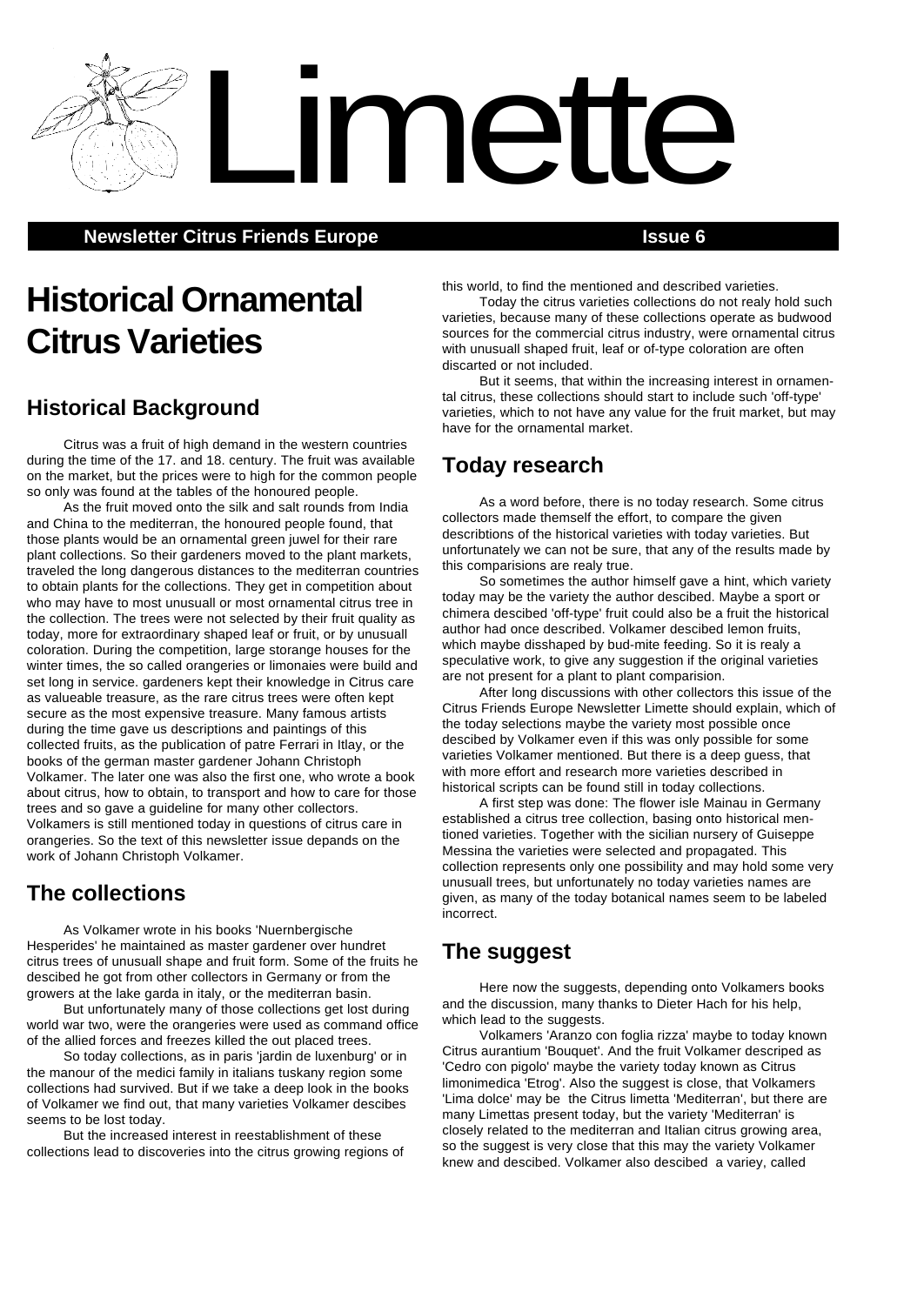**Newsletter Citrus Friends Europe <b>Issue 6 ISSUE 6** 

# **Historical Ornamental Citrus Varieties**

# **Historical Background**

Citrus was a fruit of high demand in the western countries during the time of the 17. and 18. century. The fruit was available on the market, but the prices were to high for the common people so only was found at the tables of the honoured people.

As the fruit moved onto the silk and salt rounds from India and China to the mediterran, the honoured people found, that those plants would be an ornamental green juwel for their rare plant collections. So their gardeners moved to the plant markets, traveled the long dangerous distances to the mediterran countries to obtain plants for the collections. They get in competition about who may have to most unusuall or most ornamental citrus tree in the collection. The trees were not selected by their fruit quality as today, more for extraordinary shaped leaf or fruit, or by unusuall coloration. During the competition, large storange houses for the winter times, the so called orangeries or limonaies were build and set long in service. gardeners kept their knowledge in Citrus care as valueable treasure, as the rare citrus trees were often kept secure as the most expensive treasure. Many famous artists during the time gave us descriptions and paintings of this collected fruits, as the publication of patre Ferrari in Itlay, or the books of the german master gardener Johann Christoph Volkamer. The later one was also the first one, who wrote a book about citrus, how to obtain, to transport and how to care for those trees and so gave a guideline for many other collectors. Volkamers is still mentioned today in questions of citrus care in orangeries. So the text of this newsletter issue depands on the work of Johann Christoph Volkamer.

# **The collections**

As Volkamer wrote in his books 'Nuernbergische Hesperides' he maintained as master gardener over hundret citrus trees of unusuall shape and fruit form. Some of the fruits he descibed he got from other collectors in Germany or from the growers at the lake garda in italy, or the mediterran basin.

But unfortunately many of those collections get lost during world war two, were the orangeries were used as command office of the allied forces and freezes killed the out placed trees.

So today collections, as in paris 'jardin de luxenburg' or in the manour of the medici family in italians tuskany region some collections had survived. But if we take a deep look in the books of Volkamer we find out, that many varieties Volkamer descibes seems to be lost today.

But the increased interest in reestablishment of these collections lead to discoveries into the citrus growing regions of this world, to find the mentioned and described varieties.

Today the citrus varieties collections do not realy hold such varieties, because many of these collections operate as budwood sources for the commercial citrus industry, were ornamental citrus with unusuall shaped fruit, leaf or of-type coloration are often discarted or not included.

But it seems, that within the increasing interest in ornamental citrus, these collections should start to include such 'off-type' varieties, which to not have any value for the fruit market, but may have for the ornamental market.

### **Today research**

Limette

As a word before, there is no today research. Some citrus collectors made themself the effort, to compare the given describtions of the historical varieties with today varieties. But unfortunately we can not be sure, that any of the results made by this comparisions are realy true.

So sometimes the author himself gave a hint, which variety today may be the variety the author descibed. Maybe a sport or chimera descibed 'off-type' fruit could also be a fruit the historical author had once described. Volkamer descibed lemon fruits, which maybe disshaped by bud-mite feeding. So it is realy a speculative work, to give any suggestion if the original varieties are not present for a plant to plant comparision.

After long discussions with other collectors this issue of the Citrus Friends Europe Newsletter Limette should explain, which of the today selections maybe the variety most possible once descibed by Volkamer even if this was only possible for some varieties Volkamer mentioned. But there is a deep guess, that with more effort and research more varieties described in historical scripts can be found still in today collections.

A first step was done: The flower isle Mainau in Germany established a citrus tree collection, basing onto historical mentioned varieties. Together with the sicilian nursery of Guiseppe Messina the varieties were selected and propagated. This collection represents only one possibility and may hold some very unusuall trees, but unfortunately no today varieties names are given, as many of the today botanical names seem to be labeled incorrect.

### **The suggest**

Here now the suggests, depending onto Volkamers books and the discussion, many thanks to Dieter Hach for his help, which lead to the suggests.

Volkamers 'Aranzo con foglia rizza' maybe to today known Citrus aurantium 'Bouquet'. And the fruit Volkamer descriped as 'Cedro con pigolo' maybe the variety today known as Citrus limonimedica 'Etrog'. Also the suggest is close, that Volkamers 'Lima dolce' may be the Citrus limetta 'Mediterran', but there are many Limettas present today, but the variety 'Mediterran' is closely related to the mediterran and Italian citrus growing area, so the suggest is very close that this may the variety Volkamer knew and descibed. Volkamer also descibed a variey, called